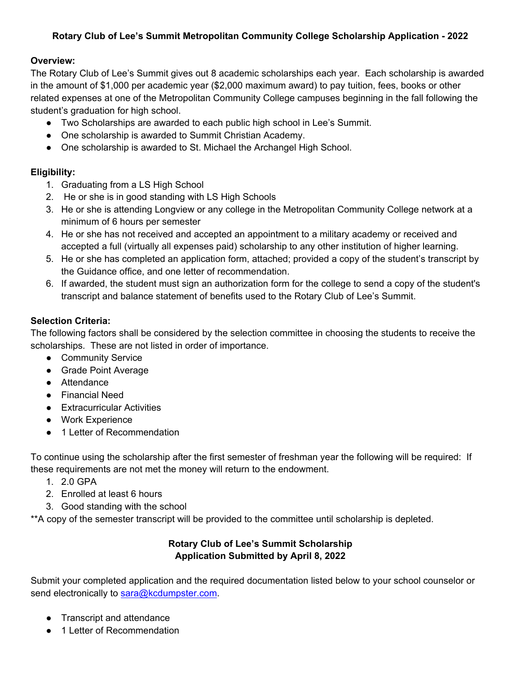#### **Rotary Club of Lee's Summit Metropolitan Community College Scholarship Application - 2022**

#### **Overview:**

The Rotary Club of Lee's Summit gives out 8 academic scholarships each year. Each scholarship is awarded in the amount of \$1,000 per academic year (\$2,000 maximum award) to pay tuition, fees, books or other related expenses at one of the Metropolitan Community College campuses beginning in the fall following the student's graduation for high school.

- Two Scholarships are awarded to each public high school in Lee's Summit.
- One scholarship is awarded to Summit Christian Academy.
- One scholarship is awarded to St. Michael the Archangel High School.

## **Eligibility:**

- 1. Graduating from a LS High School
- 2. He or she is in good standing with LS High Schools
- 3. He or she is attending Longview or any college in the Metropolitan Community College network at a minimum of 6 hours per semester
- 4. He or she has not received and accepted an appointment to a military academy or received and accepted a full (virtually all expenses paid) scholarship to any other institution of higher learning.
- 5. He or she has completed an application form, attached; provided a copy of the student's transcript by the Guidance office, and one letter of recommendation.
- 6. If awarded, the student must sign an authorization form for the college to send a copy of the student's transcript and balance statement of benefits used to the Rotary Club of Lee's Summit.

## **Selection Criteria:**

The following factors shall be considered by the selection committee in choosing the students to receive the scholarships. These are not listed in order of importance.

- Community Service
- Grade Point Average
- Attendance
- Financial Need
- Extracurricular Activities
- Work Experience
- 1 Letter of Recommendation

To continue using the scholarship after the first semester of freshman year the following will be required: If these requirements are not met the money will return to the endowment.

- 1. 2.0 GPA
- 2. Enrolled at least 6 hours
- 3. Good standing with the school

\*\*A copy of the semester transcript will be provided to the committee until scholarship is depleted.

#### **Rotary Club of Lee's Summit Scholarship Application Submitted by April 8, 2022**

Submit your completed application and the required documentation listed below to your school counselor or send electronically to [sara@kcdumpster.com.](mailto:sara@kcdumpster.com)

- **Transcript and attendance**
- 1 Letter of Recommendation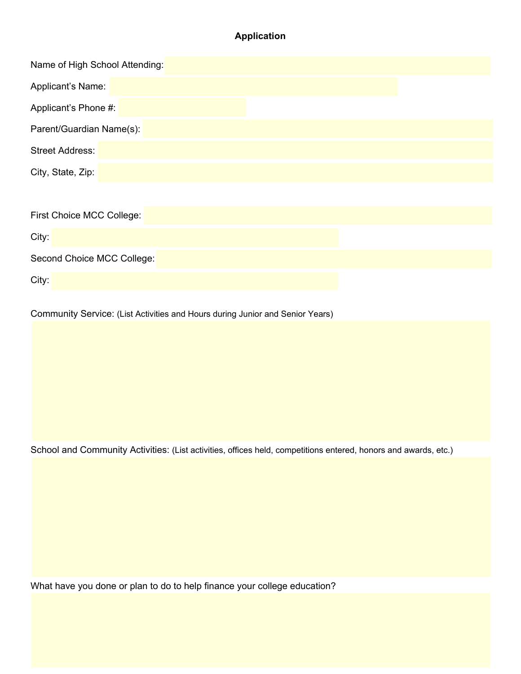# **Application**

| Name of High School Attending: |
|--------------------------------|
| Applicant's Name:              |
| Applicant's Phone #:           |
| Parent/Guardian Name(s):       |
| <b>Street Address:</b>         |
| City, State, Zip:              |
|                                |
| First Choice MCC College:      |
| City:                          |
| Second Choice MCC College:     |
| City:                          |

Community Service: (List Activities and Hours during Junior and Senior Years)

School and Community Activities: (List activities, offices held, competitions entered, honors and awards, etc.)

What have you done or plan to do to help finance your college education?